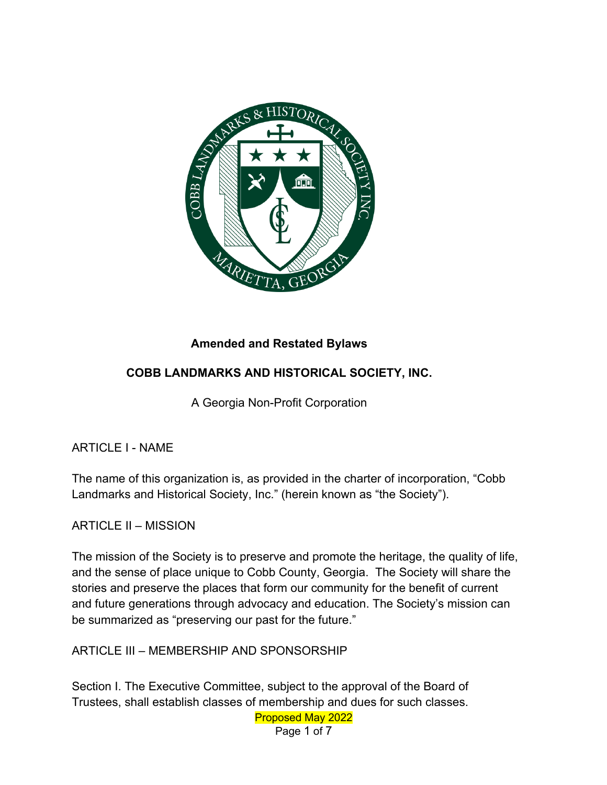

## **Amended and Restated Bylaws**

## **COBB LANDMARKS AND HISTORICAL SOCIETY, INC.**

A Georgia Non-Profit Corporation

ARTICLE I - NAME

The name of this organization is, as provided in the charter of incorporation, "Cobb Landmarks and Historical Society, Inc." (herein known as "the Society").

ARTICLE II – MISSION

The mission of the Society is to preserve and promote the heritage, the quality of life, and the sense of place unique to Cobb County, Georgia. The Society will share the stories and preserve the places that form our community for the benefit of current and future generations through advocacy and education. The Society's mission can be summarized as "preserving our past for the future."

ARTICLE III – MEMBERSHIP AND SPONSORSHIP

Section I. The Executive Committee, subject to the approval of the Board of Trustees, shall establish classes of membership and dues for such classes.

Proposed May 2022 Page 1 of 7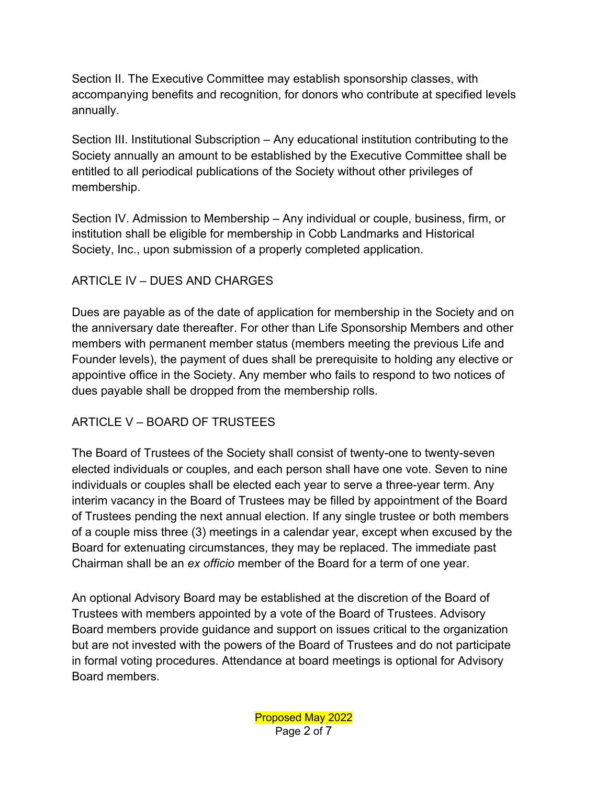Section II. The Executive Committee may establish sponsorship classes, with accompanying benefits and recognition, for donors who contribute at specified levels annually.

Section III. Institutional Subscription – Any educational institution contributing to the Society annually an amount to be established by the Executive Committee shall be entitled to all periodical publications of the Society without other privileges of membership.

Section IV. Admission to Membership – Any individual or couple, business, firm, or institution shall be eligible for membership in Cobb Landmarks and Historical Society, Inc., upon submission of a properly completed application.

#### ARTICLE IV – DUES AND CHARGES

Dues are payable as of the date of application for membership in the Society and on the anniversary date thereafter. For other than Life Sponsorship Members and other members with permanent member status (members meeting the previous Life and Founder levels), the payment of dues shall be prerequisite to holding any elective or appointive office in the Society. Any member who fails to respond to two notices of dues payable shall be dropped from the membership rolls.

## ARTICLE V – BOARD OF TRUSTEES

The Board of Trustees of the Society shall consist of twenty-one to twenty-seven elected individuals or couples, and each person shall have one vote. Seven to nine individuals or couples shall be elected each year to serve a three-year term. Any interim vacancy in the Board of Trustees may be filled by appointment of the Board of Trustees pending the next annual election. If any single trustee or both members of a couple miss three (3) meetings in a calendar year, except when excused by the Board for extenuating circumstances, they may be replaced. The immediate past Chairman shall be an *ex officio* member of the Board for a term of one year.

An optional Advisory Board may be established at the discretion of the Board of Trustees with members appointed by a vote of the Board of Trustees. Advisory Board members provide guidance and support on issues critical to the organization but are not invested with the powers of the Board of Trustees and do not participate in formal voting procedures. Attendance at board meetings is optional for Advisory Board members.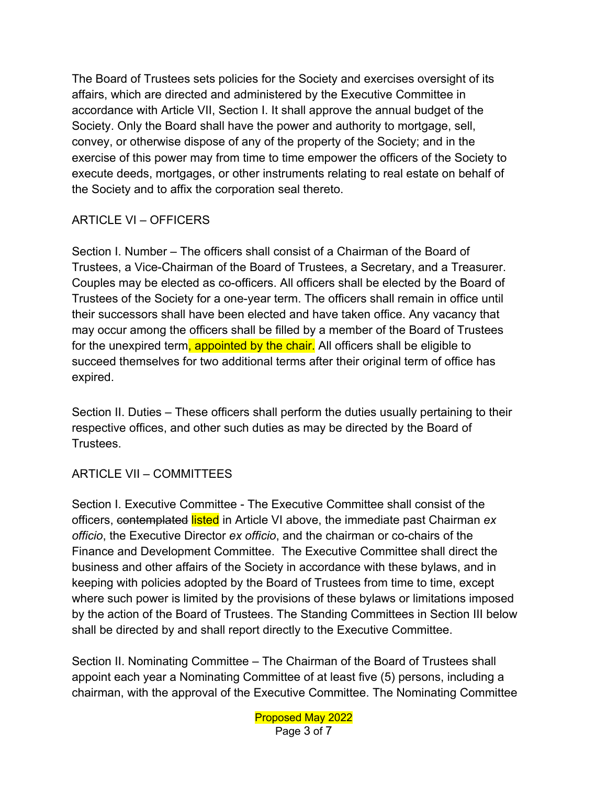The Board of Trustees sets policies for the Society and exercises oversight of its affairs, which are directed and administered by the Executive Committee in accordance with Article VII, Section I. It shall approve the annual budget of the Society. Only the Board shall have the power and authority to mortgage, sell, convey, or otherwise dispose of any of the property of the Society; and in the exercise of this power may from time to time empower the officers of the Society to execute deeds, mortgages, or other instruments relating to real estate on behalf of the Society and to affix the corporation seal thereto.

# ARTICLE VI – OFFICERS

Section I. Number – The officers shall consist of a Chairman of the Board of Trustees, a Vice-Chairman of the Board of Trustees, a Secretary, and a Treasurer. Couples may be elected as co-officers. All officers shall be elected by the Board of Trustees of the Society for a one-year term. The officers shall remain in office until their successors shall have been elected and have taken office. Any vacancy that may occur among the officers shall be filled by a member of the Board of Trustees for the unexpired term, appointed by the chair. All officers shall be eligible to succeed themselves for two additional terms after their original term of office has expired.

Section II. Duties – These officers shall perform the duties usually pertaining to their respective offices, and other such duties as may be directed by the Board of Trustees.

## ARTICLE VII – COMMITTEES

Section I. Executive Committee - The Executive Committee shall consist of the officers, contemplated listed in Article VI above, the immediate past Chairman *ex officio*, the Executive Director *ex officio*, and the chairman or co-chairs of the Finance and Development Committee. The Executive Committee shall direct the business and other affairs of the Society in accordance with these bylaws, and in keeping with policies adopted by the Board of Trustees from time to time, except where such power is limited by the provisions of these bylaws or limitations imposed by the action of the Board of Trustees. The Standing Committees in Section III below shall be directed by and shall report directly to the Executive Committee.

Section II. Nominating Committee – The Chairman of the Board of Trustees shall appoint each year a Nominating Committee of at least five (5) persons, including a chairman, with the approval of the Executive Committee. The Nominating Committee

> Proposed May 2022 Page 3 of 7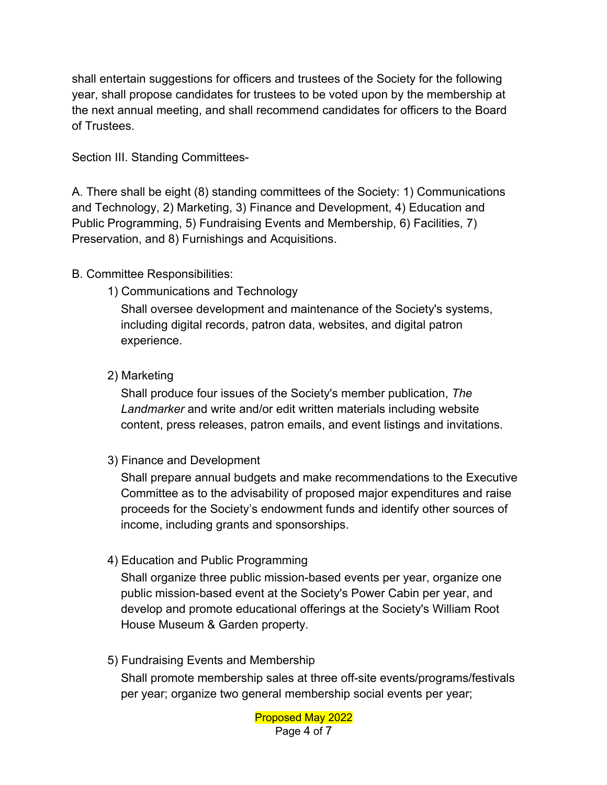shall entertain suggestions for officers and trustees of the Society for the following year, shall propose candidates for trustees to be voted upon by the membership at the next annual meeting, and shall recommend candidates for officers to the Board of Trustees.

Section III. Standing Committees-

A. There shall be eight (8) standing committees of the Society: 1) Communications and Technology, 2) Marketing, 3) Finance and Development, 4) Education and Public Programming, 5) Fundraising Events and Membership, 6) Facilities, 7) Preservation, and 8) Furnishings and Acquisitions.

## B. Committee Responsibilities:

1) Communications and Technology

Shall oversee development and maintenance of the Society's systems, including digital records, patron data, websites, and digital patron experience.

## 2) Marketing

Shall produce four issues of the Society's member publication, *The Landmarker* and write and/or edit written materials including website content, press releases, patron emails, and event listings and invitations.

3) Finance and Development

Shall prepare annual budgets and make recommendations to the Executive Committee as to the advisability of proposed major expenditures and raise proceeds for the Society's endowment funds and identify other sources of income, including grants and sponsorships.

4) Education and Public Programming

Shall organize three public mission-based events per year, organize one public mission-based event at the Society's Power Cabin per year, and develop and promote educational offerings at the Society's William Root House Museum & Garden property.

5) Fundraising Events and Membership

Shall promote membership sales at three off-site events/programs/festivals per year; organize two general membership social events per year;

> Proposed May 2022 Page 4 of 7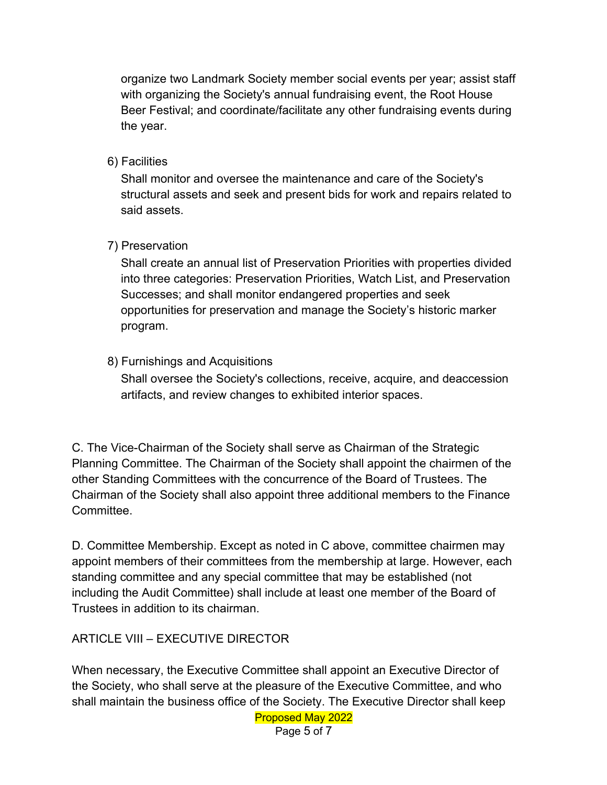organize two Landmark Society member social events per year; assist staff with organizing the Society's annual fundraising event, the Root House Beer Festival; and coordinate/facilitate any other fundraising events during the year.

#### 6) Facilities

Shall monitor and oversee the maintenance and care of the Society's structural assets and seek and present bids for work and repairs related to said assets.

### 7) Preservation

Shall create an annual list of Preservation Priorities with properties divided into three categories: Preservation Priorities, Watch List, and Preservation Successes; and shall monitor endangered properties and seek opportunities for preservation and manage the Society's historic marker program.

### 8) Furnishings and Acquisitions

Shall oversee the Society's collections, receive, acquire, and deaccession artifacts, and review changes to exhibited interior spaces.

C. The Vice-Chairman of the Society shall serve as Chairman of the Strategic Planning Committee. The Chairman of the Society shall appoint the chairmen of the other Standing Committees with the concurrence of the Board of Trustees. The Chairman of the Society shall also appoint three additional members to the Finance Committee.

D. Committee Membership. Except as noted in C above, committee chairmen may appoint members of their committees from the membership at large. However, each standing committee and any special committee that may be established (not including the Audit Committee) shall include at least one member of the Board of Trustees in addition to its chairman.

## ARTICLE VIII – EXECUTIVE DIRECTOR

When necessary, the Executive Committee shall appoint an Executive Director of the Society, who shall serve at the pleasure of the Executive Committee, and who shall maintain the business office of the Society. The Executive Director shall keep

Proposed May 2022

Page 5 of 7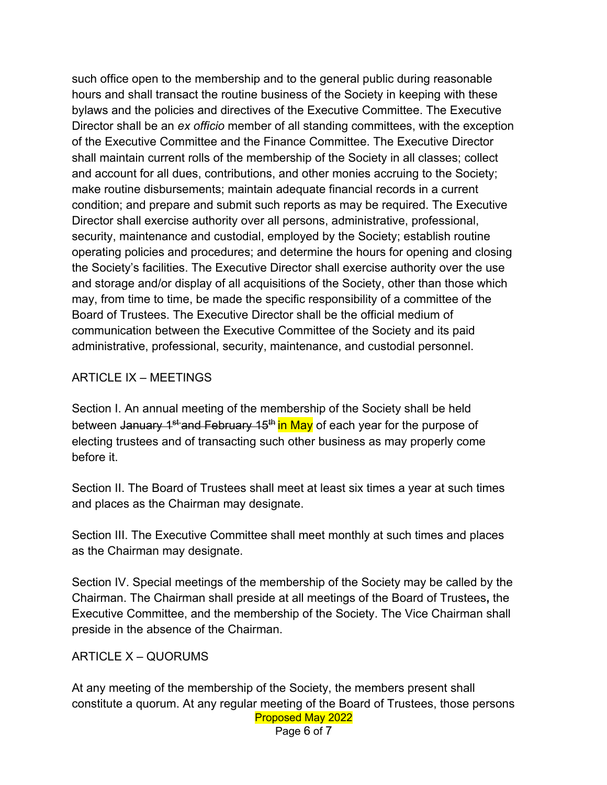such office open to the membership and to the general public during reasonable hours and shall transact the routine business of the Society in keeping with these bylaws and the policies and directives of the Executive Committee. The Executive Director shall be an *ex officio* member of all standing committees, with the exception of the Executive Committee and the Finance Committee. The Executive Director shall maintain current rolls of the membership of the Society in all classes; collect and account for all dues, contributions, and other monies accruing to the Society; make routine disbursements; maintain adequate financial records in a current condition; and prepare and submit such reports as may be required. The Executive Director shall exercise authority over all persons, administrative, professional, security, maintenance and custodial, employed by the Society; establish routine operating policies and procedures; and determine the hours for opening and closing the Society's facilities. The Executive Director shall exercise authority over the use and storage and/or display of all acquisitions of the Society, other than those which may, from time to time, be made the specific responsibility of a committee of the Board of Trustees. The Executive Director shall be the official medium of communication between the Executive Committee of the Society and its paid administrative, professional, security, maintenance, and custodial personnel.

#### ARTICLE IX – MEETINGS

Section I. An annual meeting of the membership of the Society shall be held between January 1<sup>st-</sup>and February 15<sup>th</sup> in May of each year for the purpose of electing trustees and of transacting such other business as may properly come before it.

Section II. The Board of Trustees shall meet at least six times a year at such times and places as the Chairman may designate.

Section III. The Executive Committee shall meet monthly at such times and places as the Chairman may designate.

Section IV. Special meetings of the membership of the Society may be called by the Chairman. The Chairman shall preside at all meetings of the Board of Trustees**,** the Executive Committee, and the membership of the Society. The Vice Chairman shall preside in the absence of the Chairman.

#### ARTICLE X – QUORUMS

Proposed May 2022 At any meeting of the membership of the Society, the members present shall constitute a quorum. At any regular meeting of the Board of Trustees, those persons